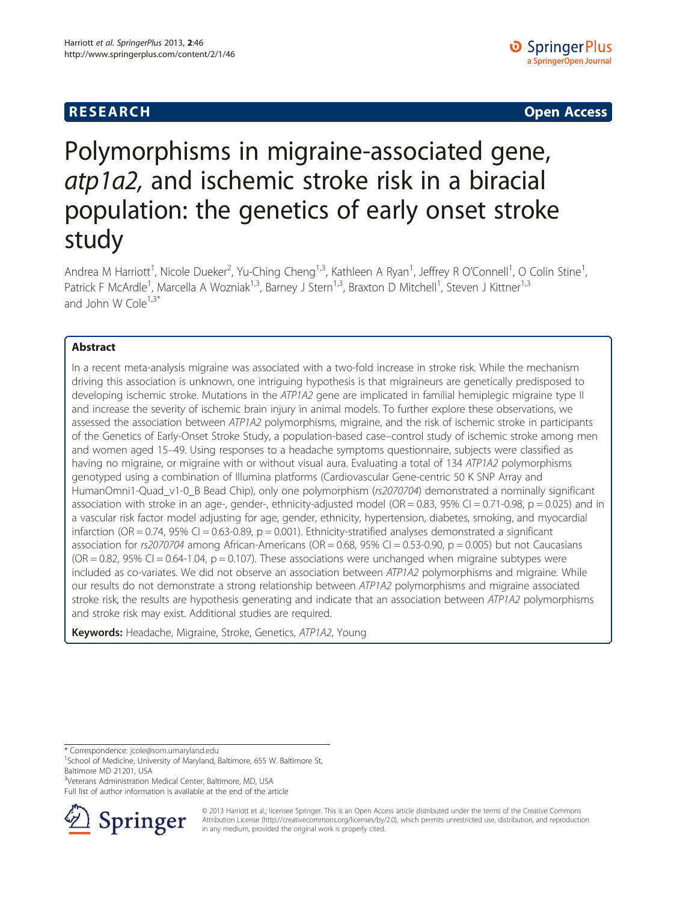**RESEARCH RESEARCH CONSUMING ACCESS** 

# Polymorphisms in migraine-associated gene, atp1a2, and ischemic stroke risk in a biracial population: the genetics of early onset stroke study

Andrea M Harriott<sup>1</sup>, Nicole Dueker<sup>2</sup>, Yu-Ching Cheng<sup>1,3</sup>, Kathleen A Ryan<sup>1</sup>, Jeffrey R O'Connell<sup>1</sup>, O Colin Stine<sup>1</sup> , Patrick F McArdle<sup>1</sup>, Marcella A Wozniak<sup>1,3</sup>, Barney J Stern<sup>1,3</sup>, Braxton D Mitchell<sup>1</sup>, Steven J Kittner<sup>1,3</sup> and John W Cole $1,3^*$ 

# Abstract

In a recent meta-analysis migraine was associated with a two-fold increase in stroke risk. While the mechanism driving this association is unknown, one intriguing hypothesis is that migraineurs are genetically predisposed to developing ischemic stroke. Mutations in the ATP1A2 gene are implicated in familial hemiplegic migraine type II and increase the severity of ischemic brain injury in animal models. To further explore these observations, we assessed the association between ATP1A2 polymorphisms, migraine, and the risk of ischemic stroke in participants of the Genetics of Early-Onset Stroke Study, a population-based case–control study of ischemic stroke among men and women aged 15–49. Using responses to a headache symptoms questionnaire, subjects were classified as having no migraine, or migraine with or without visual aura. Evaluating a total of 134 ATP1A2 polymorphisms genotyped using a combination of Illumina platforms (Cardiovascular Gene-centric 50 K SNP Array and HumanOmni1-Quad\_v1-0\_B Bead Chip), only one polymorphism (rs2070704) demonstrated a nominally significant association with stroke in an age-, gender-, ethnicity-adjusted model (OR = 0.83, 95% CI = 0.71-0.98,  $p = 0.025$ ) and in a vascular risk factor model adjusting for age, gender, ethnicity, hypertension, diabetes, smoking, and myocardial infarction (OR = 0.74, 95% CI = 0.63-0.89,  $p = 0.001$ ). Ethnicity-stratified analyses demonstrated a significant association for  $rs2070704$  among African-Americans (OR = 0.68, 95% CI = 0.53-0.90, p = 0.005) but not Caucasians  $(OR = 0.82, 95\% \text{ CI} = 0.64-1.04, p = 0.107)$ . These associations were unchanged when migraine subtypes were included as co-variates. We did not observe an association between ATP1A2 polymorphisms and migraine. While our results do not demonstrate a strong relationship between ATP1A2 polymorphisms and migraine associated stroke risk, the results are hypothesis generating and indicate that an association between ATP1A2 polymorphisms and stroke risk may exist. Additional studies are required.

Keywords: Headache, Migraine, Stroke, Genetics, ATP1A2, Young

\* Correspondence: [jcole@som.umaryland.edu](mailto:jcole@som.umaryland.edu) <sup>1</sup>

<sup>3</sup>Veterans Administration Medical Center, Baltimore, MD, USA

Full list of author information is available at the end of the article



© 2013 Harriott et al.; licensee Springer. This is an Open Access article distributed under the terms of the Creative Commons Attribution License [\(http://creativecommons.org/licenses/by/2.0\)](http://creativecommons.org/licenses/by/2.0), which permits unrestricted use, distribution, and reproduction in any medium, provided the original work is properly cited.

<sup>&</sup>lt;sup>1</sup>School of Medicine, University of Maryland, Baltimore, 655 W. Baltimore St, Baltimore MD 21201, USA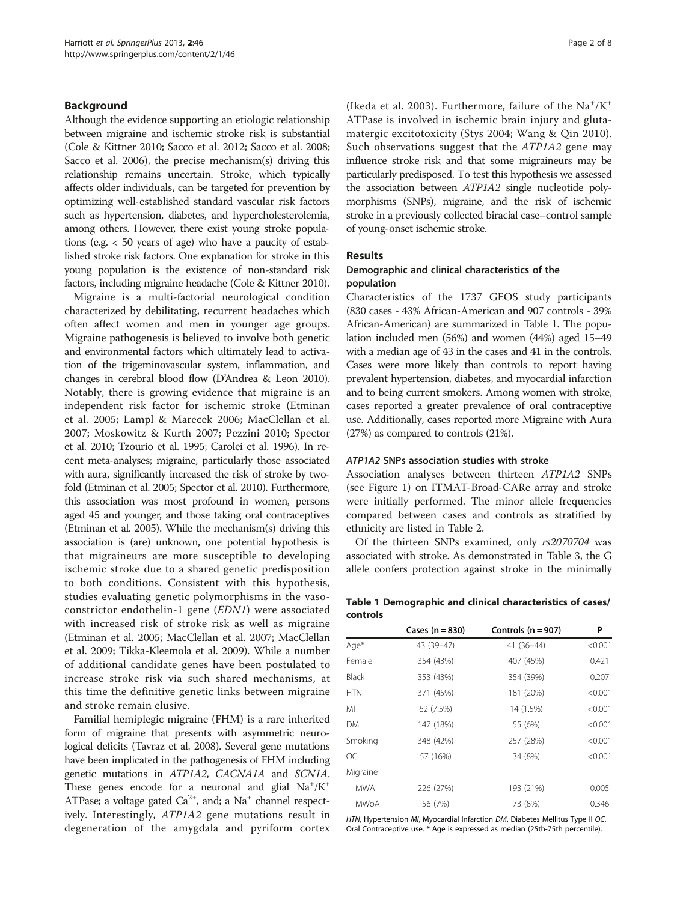# <span id="page-1-0"></span>Background

Although the evidence supporting an etiologic relationship between migraine and ischemic stroke risk is substantial (Cole & Kittner [2010](#page-6-0); Sacco et al. [2012](#page-7-0); Sacco et al. [2008](#page-7-0); Sacco et al. [2006\)](#page-7-0), the precise mechanism(s) driving this relationship remains uncertain. Stroke, which typically affects older individuals, can be targeted for prevention by optimizing well-established standard vascular risk factors such as hypertension, diabetes, and hypercholesterolemia, among others. However, there exist young stroke populations (e.g. < 50 years of age) who have a paucity of established stroke risk factors. One explanation for stroke in this young population is the existence of non-standard risk factors, including migraine headache (Cole & Kittner [2010\)](#page-6-0).

Migraine is a multi-factorial neurological condition characterized by debilitating, recurrent headaches which often affect women and men in younger age groups. Migraine pathogenesis is believed to involve both genetic and environmental factors which ultimately lead to activation of the trigeminovascular system, inflammation, and changes in cerebral blood flow (D'Andrea & Leon [2010](#page-6-0)). Notably, there is growing evidence that migraine is an independent risk factor for ischemic stroke (Etminan et al. [2005](#page-6-0); Lampl & Marecek [2006](#page-6-0); MacClellan et al. [2007;](#page-6-0) Moskowitz & Kurth [2007;](#page-6-0) Pezzini [2010;](#page-7-0) Spector et al. [2010](#page-7-0); Tzourio et al. [1995](#page-7-0); Carolei et al. [1996\)](#page-6-0). In recent meta-analyses; migraine, particularly those associated with aura, significantly increased the risk of stroke by twofold (Etminan et al. [2005;](#page-6-0) Spector et al. [2010\)](#page-7-0). Furthermore, this association was most profound in women, persons aged 45 and younger, and those taking oral contraceptives (Etminan et al. [2005](#page-6-0)). While the mechanism(s) driving this association is (are) unknown, one potential hypothesis is that migraineurs are more susceptible to developing ischemic stroke due to a shared genetic predisposition to both conditions. Consistent with this hypothesis, studies evaluating genetic polymorphisms in the vasoconstrictor endothelin-1 gene (EDN1) were associated with increased risk of stroke risk as well as migraine (Etminan et al. [2005;](#page-6-0) MacClellan et al. [2007](#page-6-0); MacClellan et al. [2009](#page-6-0); Tikka-Kleemola et al. [2009\)](#page-7-0). While a number of additional candidate genes have been postulated to increase stroke risk via such shared mechanisms, at this time the definitive genetic links between migraine and stroke remain elusive.

Familial hemiplegic migraine (FHM) is a rare inherited form of migraine that presents with asymmetric neurological deficits (Tavraz et al. [2008\)](#page-7-0). Several gene mutations have been implicated in the pathogenesis of FHM including genetic mutations in ATP1A2, CACNA1A and SCN1A. These genes encode for a neuronal and glial  $Na^+/K^+$ ATPase; a voltage gated  $Ca^{2+}$ , and; a Na<sup>+</sup> channel respectively. Interestingly, ATP1A2 gene mutations result in degeneration of the amygdala and pyriform cortex

(Ikeda et al. [2003](#page-6-0)). Furthermore, failure of the  $\mathrm{Na^+/K^+}$ ATPase is involved in ischemic brain injury and glutamatergic excitotoxicity (Stys [2004](#page-7-0); Wang & Qin [2010](#page-7-0)). Such observations suggest that the ATP1A2 gene may influence stroke risk and that some migraineurs may be particularly predisposed. To test this hypothesis we assessed the association between ATP1A2 single nucleotide polymorphisms (SNPs), migraine, and the risk of ischemic stroke in a previously collected biracial case–control sample of young-onset ischemic stroke.

## Results

# Demographic and clinical characteristics of the population

Characteristics of the 1737 GEOS study participants (830 cases - 43% African-American and 907 controls - 39% African-American) are summarized in Table 1. The population included men (56%) and women (44%) aged 15–49 with a median age of 43 in the cases and 41 in the controls. Cases were more likely than controls to report having prevalent hypertension, diabetes, and myocardial infarction and to being current smokers. Among women with stroke, cases reported a greater prevalence of oral contraceptive use. Additionally, cases reported more Migraine with Aura (27%) as compared to controls (21%).

### ATP1A2 SNPs association studies with stroke

Association analyses between thirteen ATP1A2 SNPs (see Figure [1\)](#page-2-0) on ITMAT-Broad-CARe array and stroke were initially performed. The minor allele frequencies compared between cases and controls as stratified by ethnicity are listed in Table [2.](#page-2-0)

Of the thirteen SNPs examined, only rs2070704 was associated with stroke. As demonstrated in Table [3,](#page-3-0) the G allele confers protection against stroke in the minimally

Table 1 Demographic and clinical characteristics of cases/ controls

|              | Cases $(n = 830)$ | Controls $(n = 907)$ | P       |
|--------------|-------------------|----------------------|---------|
| Age*         | 43 (39-47)        | $41(36-44)$          | < 0.001 |
| Female       | 354 (43%)         | 407 (45%)            | 0.421   |
| <b>Black</b> | 353 (43%)         | 354 (39%)            | 0.207   |
| <b>HTN</b>   | 371 (45%)         | 181 (20%)            | < 0.001 |
| MI           | 62 (7.5%)         | 14 (1.5%)            | < 0.001 |
| DM           | 147 (18%)         | 55 (6%)              | < 0.001 |
| Smoking      | 348 (42%)         | 257 (28%)            | < 0.001 |
| ОC           | 57 (16%)          | 34 (8%)              | < 0.001 |
| Migraine     |                   |                      |         |
| <b>MWA</b>   | 226 (27%)         | 193 (21%)            | 0.005   |
| <b>MWoA</b>  | 56 (7%)           | 73 (8%)              | 0.346   |

HTN, Hypertension MI, Myocardial Infarction DM, Diabetes Mellitus Type II OC, Oral Contraceptive use. \* Age is expressed as median (25th-75th percentile).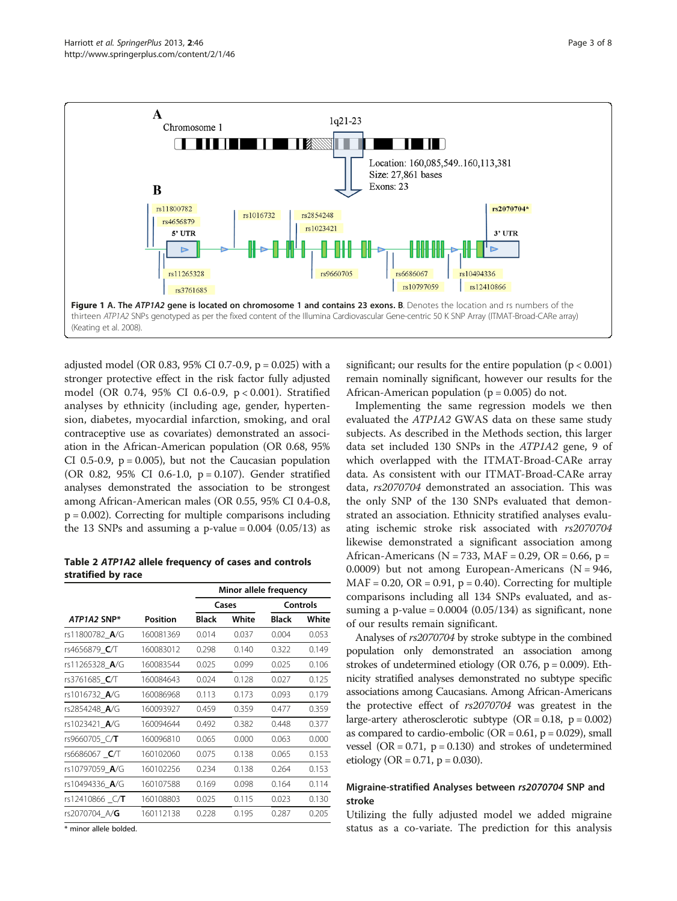<span id="page-2-0"></span>

adjusted model (OR 0.83, 95% CI 0.7-0.9, p = 0.025) with a stronger protective effect in the risk factor fully adjusted model (OR 0.74, 95% CI 0.6-0.9, p < 0.001). Stratified analyses by ethnicity (including age, gender, hypertension, diabetes, myocardial infarction, smoking, and oral contraceptive use as covariates) demonstrated an association in the African-American population (OR 0.68, 95% CI 0.5-0.9,  $p = 0.005$ ), but not the Caucasian population (OR 0.82, 95% CI 0.6-1.0, p = 0.107). Gender stratified analyses demonstrated the association to be strongest among African-American males (OR 0.55, 95% CI 0.4-0.8,  $p = 0.002$ ). Correcting for multiple comparisons including the 13 SNPs and assuming a p-value =  $0.004$  ( $0.05/13$ ) as

Table 2 ATP1A2 allele frequency of cases and controls stratified by race

|                       |                 | Minor allele frequency |       |              |       |
|-----------------------|-----------------|------------------------|-------|--------------|-------|
|                       |                 | Cases                  |       | Controls     |       |
| ATP1A2 SNP*           | <b>Position</b> | <b>Black</b>           | White | <b>Black</b> | White |
| rs11800782 A/G        | 160081369       | 0.014                  | 0.037 | 0.004        | 0.053 |
| rs4656879_C/T         | 160083012       | 0.298                  | 0.140 | 0.322        | 0.149 |
| rs11265328 A/G        | 160083544       | 0.025                  | 0.099 | 0.025        | 0.106 |
| rs3761685 C/T         | 160084643       | 0.024                  | 0.128 | 0.027        | 0.125 |
| rs1016732_A/G         | 160086968       | 0.113                  | 0.173 | 0.093        | 0.179 |
| rs2854248 A/G         | 160093927       | 0.459                  | 0.359 | 0.477        | 0.359 |
| rs1023421 A/G         | 160094644       | 0.492                  | 0.382 | 0.448        | 0.377 |
| rs9660705 C/T         | 160096810       | 0.065                  | 0.000 | 0.063        | 0.000 |
| rs6686067 <b>C</b> /T | 160102060       | 0.075                  | 0.138 | 0.065        | 0.153 |
| rs10797059 A/G        | 160102256       | 0.234                  | 0.138 | 0.264        | 0.153 |
| rs10494336 A/G        | 160107588       | 0.169                  | 0.098 | 0.164        | 0.114 |
| rs12410866 C/T        | 160108803       | 0.025                  | 0.115 | 0.023        | 0.130 |
| rs2070704 A/G         | 160112138       | 0.228                  | 0.195 | 0.287        | 0.205 |
|                       |                 |                        |       |              |       |

\* minor allele bolded.

significant; our results for the entire population  $(p < 0.001)$ remain nominally significant, however our results for the African-American population ( $p = 0.005$ ) do not.

Implementing the same regression models we then evaluated the ATP1A2 GWAS data on these same study subjects. As described in the Methods section, this larger data set included 130 SNPs in the ATP1A2 gene, 9 of which overlapped with the ITMAT-Broad-CARe array data. As consistent with our ITMAT-Broad-CARe array data, rs2070704 demonstrated an association. This was the only SNP of the 130 SNPs evaluated that demonstrated an association. Ethnicity stratified analyses evaluating ischemic stroke risk associated with rs2070704 likewise demonstrated a significant association among African-Americans ( $N = 733$ , MAF = 0.29, OR = 0.66, p = 0.0009) but not among European-Americans ( $N = 946$ ,  $MAF = 0.20$ ,  $OR = 0.91$ ,  $p = 0.40$ ). Correcting for multiple comparisons including all 134 SNPs evaluated, and assuming a p-value =  $0.0004$  ( $0.05/134$ ) as significant, none of our results remain significant.

Analyses of rs2070704 by stroke subtype in the combined population only demonstrated an association among strokes of undetermined etiology (OR 0.76, p = 0.009). Ethnicity stratified analyses demonstrated no subtype specific associations among Caucasians. Among African-Americans the protective effect of rs2070704 was greatest in the large-artery atherosclerotic subtype  $(OR = 0.18, p = 0.002)$ as compared to cardio-embolic ( $OR = 0.61$ ,  $p = 0.029$ ), small vessel (OR =  $0.71$ , p =  $0.130$ ) and strokes of undetermined etiology (OR =  $0.71$ , p = 0.030).

# Migraine-stratified Analyses between rs2070704 SNP and stroke

Utilizing the fully adjusted model we added migraine status as a co-variate. The prediction for this analysis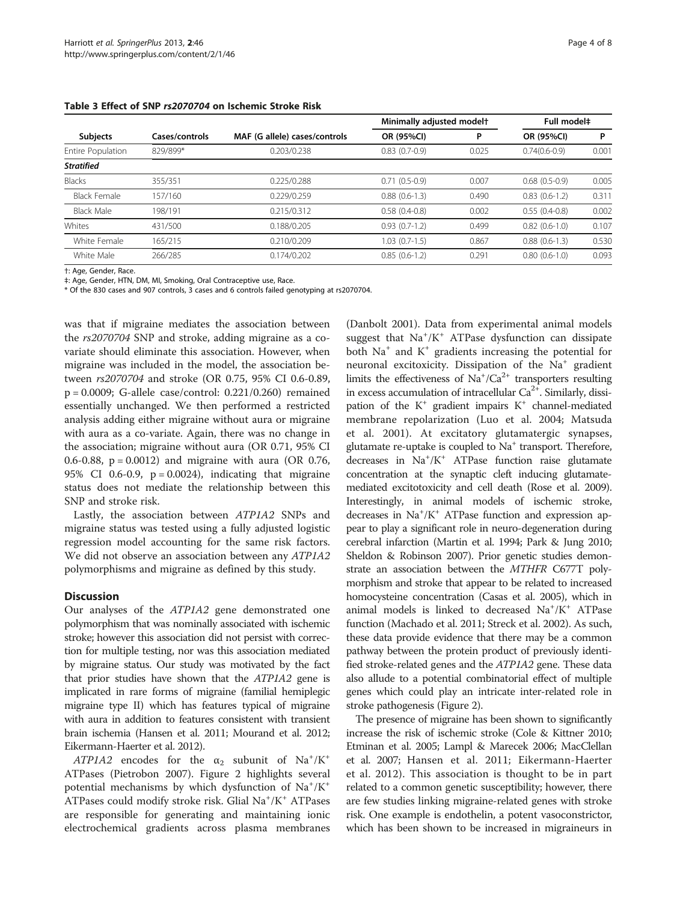| <b>Subjects</b>     | Cases/controls | MAF (G allele) cases/controls | Minimally adjusted modelt |       | Full model <sup>+</sup> |       |
|---------------------|----------------|-------------------------------|---------------------------|-------|-------------------------|-------|
|                     |                |                               | OR (95%CI)                | P     | OR (95%CI)              | P     |
| Entire Population   | 829/899*       | 0.203/0.238                   | $0.83(0.7-0.9)$           | 0.025 | $0.74(0.6-0.9)$         | 0.001 |
| <b>Stratified</b>   |                |                               |                           |       |                         |       |
| Blacks              | 355/351        | 0.225/0.288                   | $0.71(0.5-0.9)$           | 0.007 | $0.68(0.5-0.9)$         | 0.005 |
| <b>Black Female</b> | 157/160        | 0.229/0.259                   | $0.88(0.6-1.3)$           | 0.490 | $0.83(0.6-1.2)$         | 0.311 |
| Black Male          | 198/191        | 0.215/0.312                   | $0.58(0.4-0.8)$           | 0.002 | $0.55(0.4-0.8)$         | 0.002 |
| Whites              | 431/500        | 0.188/0.205                   | $0.93(0.7-1.2)$           | 0.499 | $0.82(0.6-1.0)$         | 0.107 |
| White Female        | 165/215        | 0.210/0.209                   | $1.03(0.7-1.5)$           | 0.867 | $0.88(0.6-1.3)$         | 0.530 |
| White Male          | 266/285        | 0.174/0.202                   | $0.85(0.6-1.2)$           | 0.291 | $0.80(0.6-1.0)$         | 0.093 |

#### <span id="page-3-0"></span>Table 3 Effect of SNP rs2070704 on Ischemic Stroke Risk

†: Age, Gender, Race.

‡: Age, Gender, HTN, DM, MI, Smoking, Oral Contraceptive use, Race.

\* Of the 830 cases and 907 controls, 3 cases and 6 controls failed genotyping at rs2070704.

was that if migraine mediates the association between the rs2070704 SNP and stroke, adding migraine as a covariate should eliminate this association. However, when migraine was included in the model, the association between rs2070704 and stroke (OR 0.75, 95% CI 0.6-0.89, p = 0.0009; G-allele case/control: 0.221/0.260) remained essentially unchanged. We then performed a restricted analysis adding either migraine without aura or migraine with aura as a co-variate. Again, there was no change in the association; migraine without aura (OR 0.71, 95% CI 0.6-0.88, p = 0.0012) and migraine with aura (OR 0.76, 95% CI 0.6-0.9,  $p = 0.0024$ ), indicating that migraine status does not mediate the relationship between this SNP and stroke risk.

Lastly, the association between ATP1A2 SNPs and migraine status was tested using a fully adjusted logistic regression model accounting for the same risk factors. We did not observe an association between any ATP1A2 polymorphisms and migraine as defined by this study.

#### **Discussion**

Our analyses of the ATP1A2 gene demonstrated one polymorphism that was nominally associated with ischemic stroke; however this association did not persist with correction for multiple testing, nor was this association mediated by migraine status. Our study was motivated by the fact that prior studies have shown that the ATP1A2 gene is implicated in rare forms of migraine (familial hemiplegic migraine type II) which has features typical of migraine with aura in addition to features consistent with transient brain ischemia (Hansen et al. [2011;](#page-6-0) Mourand et al. [2012](#page-6-0); Eikermann-Haerter et al. [2012](#page-6-0)).

 $ATPIA2$  encodes for the  $\alpha_2$  subunit of Na<sup>+</sup>/K<sup>+</sup> ATPases (Pietrobon [2007](#page-7-0)). Figure [2](#page-4-0) highlights several potential mechanisms by which dysfunction of Na<sup>+</sup>/K<sup>+</sup> ATPases could modify stroke risk. Glial Na<sup>+</sup>/K<sup>+</sup> ATPases are responsible for generating and maintaining ionic electrochemical gradients across plasma membranes

(Danbolt [2001](#page-6-0)). Data from experimental animal models suggest that Na<sup>+</sup>/K<sup>+</sup> ATPase dysfunction can dissipate both  $Na<sup>+</sup>$  and  $K<sup>+</sup>$  gradients increasing the potential for neuronal excitoxicity. Dissipation of the Na<sup>+</sup> gradient limits the effectiveness of  $\text{Na}^+/ \text{Ca}^{2+}$  transporters resulting in excess accumulation of intracellular  $Ca<sup>2+</sup>$ . Similarly, dissipation of the  $K^+$  gradient impairs  $K^+$  channel-mediated membrane repolarization (Luo et al. [2004](#page-6-0); Matsuda et al. [2001\)](#page-6-0). At excitatory glutamatergic synapses, glutamate re-uptake is coupled to  $Na<sup>+</sup>$  transport. Therefore, decreases in Na<sup>+</sup>/K<sup>+</sup> ATPase function raise glutamate concentration at the synaptic cleft inducing glutamatemediated excitotoxicity and cell death (Rose et al. [2009](#page-7-0)). Interestingly, in animal models of ischemic stroke, decreases in Na<sup>+</sup>/K<sup>+</sup> ATPase function and expression appear to play a significant role in neuro-degeneration during cerebral infarction (Martin et al. [1994;](#page-6-0) Park & Jung [2010](#page-7-0); Sheldon & Robinson [2007\)](#page-7-0). Prior genetic studies demonstrate an association between the MTHFR C677T polymorphism and stroke that appear to be related to increased homocysteine concentration (Casas et al. [2005\)](#page-6-0), which in animal models is linked to decreased Na<sup>+</sup>/K<sup>+</sup> ATPase function (Machado et al. [2011](#page-6-0); Streck et al. [2002](#page-7-0)). As such, these data provide evidence that there may be a common pathway between the protein product of previously identified stroke-related genes and the ATP1A2 gene. These data also allude to a potential combinatorial effect of multiple genes which could play an intricate inter-related role in stroke pathogenesis (Figure [2\)](#page-4-0).

The presence of migraine has been shown to significantly increase the risk of ischemic stroke (Cole & Kittner [2010](#page-6-0); Etminan et al. [2005;](#page-6-0) Lampl & Marecek [2006;](#page-6-0) MacClellan et al. [2007;](#page-6-0) Hansen et al. [2011](#page-6-0); Eikermann-Haerter et al. [2012\)](#page-6-0). This association is thought to be in part related to a common genetic susceptibility; however, there are few studies linking migraine-related genes with stroke risk. One example is endothelin, a potent vasoconstrictor, which has been shown to be increased in migraineurs in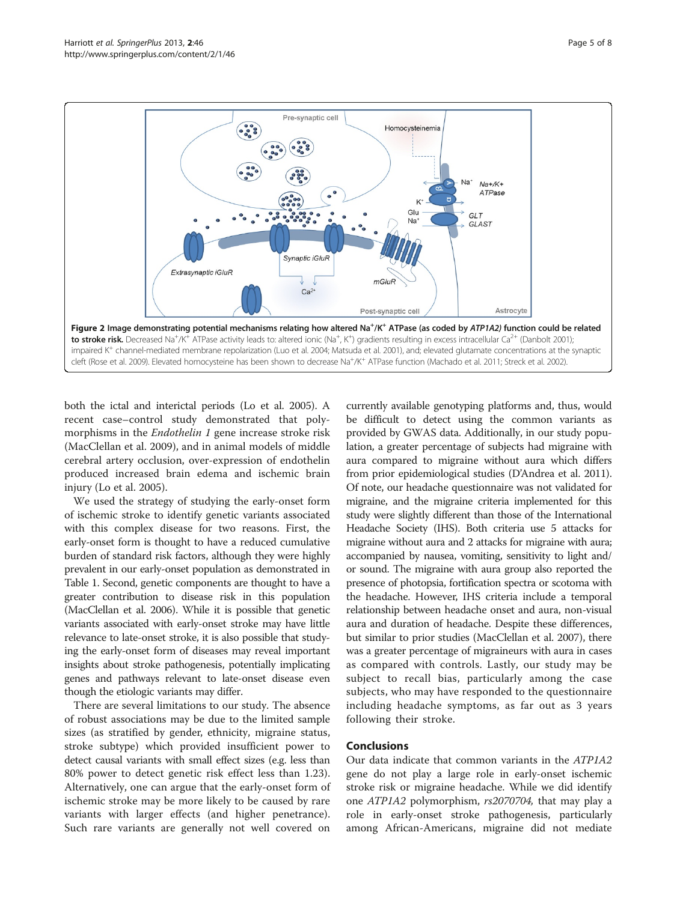<span id="page-4-0"></span>

both the ictal and interictal periods (Lo et al. [2005\)](#page-6-0). A recent case–control study demonstrated that polymorphisms in the Endothelin 1 gene increase stroke risk (MacClellan et al. [2009\)](#page-6-0), and in animal models of middle cerebral artery occlusion, over-expression of endothelin produced increased brain edema and ischemic brain injury (Lo et al. [2005](#page-6-0)).

We used the strategy of studying the early-onset form of ischemic stroke to identify genetic variants associated with this complex disease for two reasons. First, the early-onset form is thought to have a reduced cumulative burden of standard risk factors, although they were highly prevalent in our early-onset population as demonstrated in Table [1.](#page-1-0) Second, genetic components are thought to have a greater contribution to disease risk in this population (MacClellan et al. [2006](#page-6-0)). While it is possible that genetic variants associated with early-onset stroke may have little relevance to late-onset stroke, it is also possible that studying the early-onset form of diseases may reveal important insights about stroke pathogenesis, potentially implicating genes and pathways relevant to late-onset disease even though the etiologic variants may differ.

There are several limitations to our study. The absence of robust associations may be due to the limited sample sizes (as stratified by gender, ethnicity, migraine status, stroke subtype) which provided insufficient power to detect causal variants with small effect sizes (e.g. less than 80% power to detect genetic risk effect less than 1.23). Alternatively, one can argue that the early-onset form of ischemic stroke may be more likely to be caused by rare variants with larger effects (and higher penetrance). Such rare variants are generally not well covered on

currently available genotyping platforms and, thus, would be difficult to detect using the common variants as provided by GWAS data. Additionally, in our study population, a greater percentage of subjects had migraine with aura compared to migraine without aura which differs from prior epidemiological studies (D'Andrea et al. [2011](#page-6-0)). Of note, our headache questionnaire was not validated for migraine, and the migraine criteria implemented for this study were slightly different than those of the International Headache Society (IHS). Both criteria use 5 attacks for migraine without aura and 2 attacks for migraine with aura; accompanied by nausea, vomiting, sensitivity to light and/ or sound. The migraine with aura group also reported the presence of photopsia, fortification spectra or scotoma with the headache. However, IHS criteria include a temporal relationship between headache onset and aura, non-visual aura and duration of headache. Despite these differences, but similar to prior studies (MacClellan et al. [2007\)](#page-6-0), there was a greater percentage of migraineurs with aura in cases as compared with controls. Lastly, our study may be subject to recall bias, particularly among the case subjects, who may have responded to the questionnaire including headache symptoms, as far out as 3 years following their stroke.

# Conclusions

Our data indicate that common variants in the ATP1A2 gene do not play a large role in early-onset ischemic stroke risk or migraine headache. While we did identify one ATP1A2 polymorphism, rs2070704, that may play a role in early-onset stroke pathogenesis, particularly among African-Americans, migraine did not mediate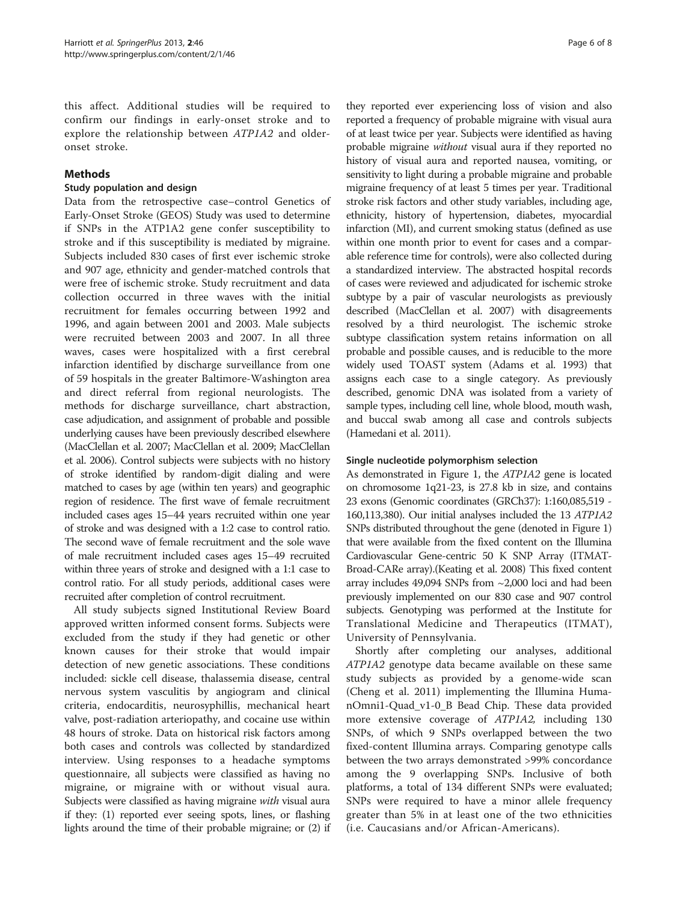this affect. Additional studies will be required to confirm our findings in early-onset stroke and to explore the relationship between ATP1A2 and olderonset stroke.

# Methods

# Study population and design

Data from the retrospective case–control Genetics of Early-Onset Stroke (GEOS) Study was used to determine if SNPs in the ATP1A2 gene confer susceptibility to stroke and if this susceptibility is mediated by migraine. Subjects included 830 cases of first ever ischemic stroke and 907 age, ethnicity and gender-matched controls that were free of ischemic stroke. Study recruitment and data collection occurred in three waves with the initial recruitment for females occurring between 1992 and 1996, and again between 2001 and 2003. Male subjects were recruited between 2003 and 2007. In all three waves, cases were hospitalized with a first cerebral infarction identified by discharge surveillance from one of 59 hospitals in the greater Baltimore-Washington area and direct referral from regional neurologists. The methods for discharge surveillance, chart abstraction, case adjudication, and assignment of probable and possible underlying causes have been previously described elsewhere (MacClellan et al. [2007;](#page-6-0) MacClellan et al. [2009;](#page-6-0) MacClellan et al. [2006\)](#page-6-0). Control subjects were subjects with no history of stroke identified by random-digit dialing and were matched to cases by age (within ten years) and geographic region of residence. The first wave of female recruitment included cases ages 15–44 years recruited within one year of stroke and was designed with a 1:2 case to control ratio. The second wave of female recruitment and the sole wave of male recruitment included cases ages 15–49 recruited within three years of stroke and designed with a 1:1 case to control ratio. For all study periods, additional cases were recruited after completion of control recruitment.

All study subjects signed Institutional Review Board approved written informed consent forms. Subjects were excluded from the study if they had genetic or other known causes for their stroke that would impair detection of new genetic associations. These conditions included: sickle cell disease, thalassemia disease, central nervous system vasculitis by angiogram and clinical criteria, endocarditis, neurosyphillis, mechanical heart valve, post-radiation arteriopathy, and cocaine use within 48 hours of stroke. Data on historical risk factors among both cases and controls was collected by standardized interview. Using responses to a headache symptoms questionnaire, all subjects were classified as having no migraine, or migraine with or without visual aura. Subjects were classified as having migraine with visual aura if they: (1) reported ever seeing spots, lines, or flashing lights around the time of their probable migraine; or (2) if

they reported ever experiencing loss of vision and also reported a frequency of probable migraine with visual aura of at least twice per year. Subjects were identified as having probable migraine without visual aura if they reported no history of visual aura and reported nausea, vomiting, or sensitivity to light during a probable migraine and probable migraine frequency of at least 5 times per year. Traditional stroke risk factors and other study variables, including age, ethnicity, history of hypertension, diabetes, myocardial infarction (MI), and current smoking status (defined as use within one month prior to event for cases and a comparable reference time for controls), were also collected during a standardized interview. The abstracted hospital records of cases were reviewed and adjudicated for ischemic stroke subtype by a pair of vascular neurologists as previously described (MacClellan et al. [2007\)](#page-6-0) with disagreements resolved by a third neurologist. The ischemic stroke subtype classification system retains information on all probable and possible causes, and is reducible to the more widely used TOAST system (Adams et al. [1993\)](#page-6-0) that assigns each case to a single category. As previously described, genomic DNA was isolated from a variety of sample types, including cell line, whole blood, mouth wash, and buccal swab among all case and controls subjects (Hamedani et al. [2011\)](#page-6-0).

# Single nucleotide polymorphism selection

As demonstrated in Figure [1,](#page-2-0) the ATP1A2 gene is located on chromosome 1q21-23, is 27.8 kb in size, and contains 23 exons (Genomic coordinates (GRCh37): 1:160,085,519 - 160,113,380). Our initial analyses included the 13 ATP1A2 SNPs distributed throughout the gene (denoted in Figure [1](#page-2-0)) that were available from the fixed content on the Illumina Cardiovascular Gene-centric 50 K SNP Array (ITMAT-Broad-CARe array).(Keating et al. [2008\)](#page-6-0) This fixed content array includes 49,094 SNPs from ~2,000 loci and had been previously implemented on our 830 case and 907 control subjects. Genotyping was performed at the Institute for Translational Medicine and Therapeutics (ITMAT), University of Pennsylvania.

Shortly after completing our analyses, additional ATP1A2 genotype data became available on these same study subjects as provided by a genome-wide scan (Cheng et al. [2011](#page-6-0)) implementing the Illumina HumanOmni1-Quad\_v1-0\_B Bead Chip. These data provided more extensive coverage of *ATP1A2*, including 130 SNPs, of which 9 SNPs overlapped between the two fixed-content Illumina arrays. Comparing genotype calls between the two arrays demonstrated >99% concordance among the 9 overlapping SNPs. Inclusive of both platforms, a total of 134 different SNPs were evaluated; SNPs were required to have a minor allele frequency greater than 5% in at least one of the two ethnicities (i.e. Caucasians and/or African-Americans).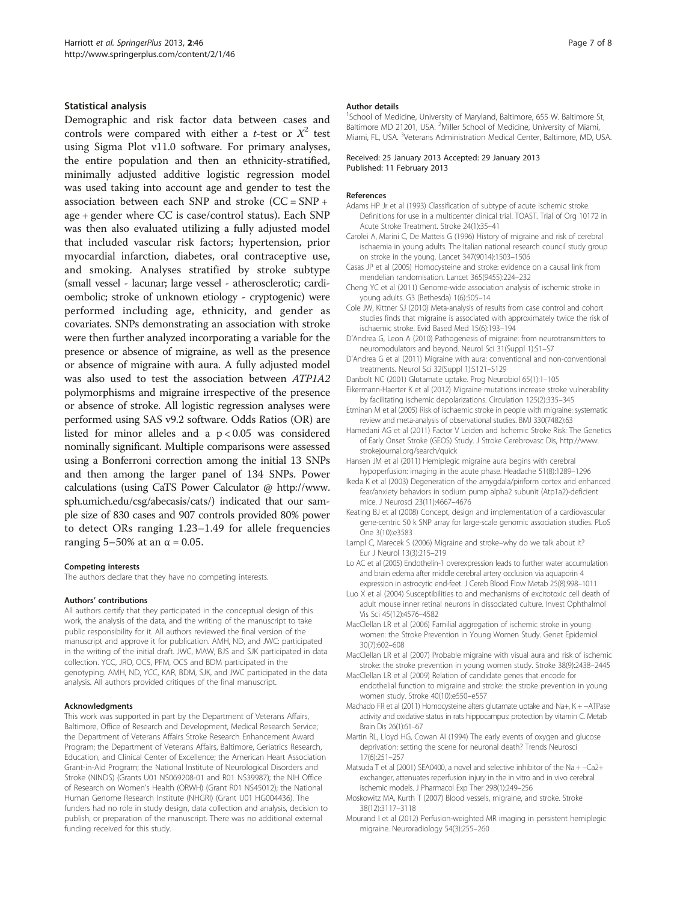#### <span id="page-6-0"></span>Statistical analysis

Demographic and risk factor data between cases and controls were compared with either a *t*-test or  $X^2$  test using Sigma Plot v11.0 software. For primary analyses, the entire population and then an ethnicity-stratified, minimally adjusted additive logistic regression model was used taking into account age and gender to test the association between each SNP and stroke (CC = SNP + age + gender where CC is case/control status). Each SNP was then also evaluated utilizing a fully adjusted model that included vascular risk factors; hypertension, prior myocardial infarction, diabetes, oral contraceptive use, and smoking. Analyses stratified by stroke subtype (small vessel - lacunar; large vessel - atherosclerotic; cardioembolic; stroke of unknown etiology - cryptogenic) were performed including age, ethnicity, and gender as covariates. SNPs demonstrating an association with stroke were then further analyzed incorporating a variable for the presence or absence of migraine, as well as the presence or absence of migraine with aura. A fully adjusted model was also used to test the association between ATP1A2 polymorphisms and migraine irrespective of the presence or absence of stroke. All logistic regression analyses were performed using SAS v9.2 software. Odds Ratios (OR) are listed for minor alleles and a p < 0.05 was considered nominally significant. Multiple comparisons were assessed using a Bonferroni correction among the initial 13 SNPs and then among the larger panel of 134 SNPs. Power calculations (using CaTS Power Calculator @ [http://www.](http://www.sph.umich.edu/csg/abecasis/cats/) [sph.umich.edu/csg/abecasis/cats/](http://www.sph.umich.edu/csg/abecasis/cats/)) indicated that our sample size of 830 cases and 907 controls provided 80% power to detect ORs ranging 1.23–1.49 for allele frequencies ranging  $5-50\%$  at an  $\alpha = 0.05$ .

#### Competing interests

The authors declare that they have no competing interests.

#### Authors' contributions

All authors certify that they participated in the conceptual design of this work, the analysis of the data, and the writing of the manuscript to take public responsibility for it. All authors reviewed the final version of the manuscript and approve it for publication. AMH, ND, and JWC: participated in the writing of the initial draft. JWC, MAW, BJS and SJK participated in data collection. YCC, JRO, OCS, PFM, OCS and BDM participated in the genotyping. AMH, ND, YCC, KAR, BDM, SJK, and JWC participated in the data analysis. All authors provided critiques of the final manuscript.

#### Acknowledgments

This work was supported in part by the Department of Veterans Affairs, Baltimore, Office of Research and Development, Medical Research Service; the Department of Veterans Affairs Stroke Research Enhancement Award Program; the Department of Veterans Affairs, Baltimore, Geriatrics Research, Education, and Clinical Center of Excellence; the American Heart Association Grant-in-Aid Program; the National Institute of Neurological Disorders and Stroke (NINDS) (Grants U01 NS069208-01 and R01 NS39987); the NIH Office of Research on Women's Health (ORWH) (Grant R01 NS45012); the National Human Genome Research Institute (NHGRI) (Grant U01 HG004436). The funders had no role in study design, data collection and analysis, decision to publish, or preparation of the manuscript. There was no additional external funding received for this study.

#### Author details

<sup>1</sup>School of Medicine, University of Maryland, Baltimore, 655 W. Baltimore St, Baltimore MD 21201, USA. <sup>2</sup>Miller School of Medicine, University of Miami, Miami, FL, USA. <sup>3</sup>Veterans Administration Medical Center, Baltimore, MD, USA.

#### Received: 25 January 2013 Accepted: 29 January 2013 Published: 11 February 2013

#### References

- Adams HP Jr et al (1993) Classification of subtype of acute ischemic stroke. Definitions for use in a multicenter clinical trial. TOAST. Trial of Org 10172 in Acute Stroke Treatment. Stroke 24(1):35–41
- Carolei A, Marini C, De Matteis G (1996) History of migraine and risk of cerebral ischaemia in young adults. The Italian national research council study group on stroke in the young. Lancet 347(9014):1503–1506
- Casas JP et al (2005) Homocysteine and stroke: evidence on a causal link from mendelian randomisation. Lancet 365(9455):224–232
- Cheng YC et al (2011) Genome-wide association analysis of ischemic stroke in young adults. G3 (Bethesda) 1(6):505–14
- Cole JW, Kittner SJ (2010) Meta-analysis of results from case control and cohort studies finds that migraine is associated with approximately twice the risk of ischaemic stroke. Evid Based Med 15(6):193–194
- D'Andrea G, Leon A (2010) Pathogenesis of migraine: from neurotransmitters to neuromodulators and beyond. Neurol Sci 31(Suppl 1):S1–S7
- D'Andrea G et al (2011) Migraine with aura: conventional and non-conventional treatments. Neurol Sci 32(Suppl 1):S121–S129
- Danbolt NC (2001) Glutamate uptake. Prog Neurobiol 65(1):1–105
- Eikermann-Haerter K et al (2012) Migraine mutations increase stroke vulnerability by facilitating ischemic depolarizations. Circulation 125(2):335–345
- Etminan M et al (2005) Risk of ischaemic stroke in people with migraine: systematic review and meta-analysis of observational studies. BMJ 330(7482):63
- Hamedani AG et al (2011) Factor V Leiden and Ischemic Stroke Risk: The Genetics of Early Onset Stroke (GEOS) Study. J Stroke Cerebrovasc Dis, [http://www.](http://www.strokejournal.org/search/quick) [strokejournal.org/search/quick](http://www.strokejournal.org/search/quick)
- Hansen JM et al (2011) Hemiplegic migraine aura begins with cerebral hypoperfusion: imaging in the acute phase. Headache 51(8):1289–1296
- Ikeda K et al (2003) Degeneration of the amygdala/piriform cortex and enhanced fear/anxiety behaviors in sodium pump alpha2 subunit (Atp1a2)-deficient mice. J Neurosci 23(11):4667–4676
- Keating BJ et al (2008) Concept, design and implementation of a cardiovascular gene-centric 50 k SNP array for large-scale genomic association studies. PLoS One 3(10):e3583
- Lampl C, Marecek S (2006) Migraine and stroke–why do we talk about it? Eur J Neurol 13(3):215–219
- Lo AC et al (2005) Endothelin-1 overexpression leads to further water accumulation and brain edema after middle cerebral artery occlusion via aquaporin 4 expression in astrocytic end-feet. J Cereb Blood Flow Metab 25(8):998–1011
- Luo X et al (2004) Susceptibilities to and mechanisms of excitotoxic cell death of adult mouse inner retinal neurons in dissociated culture. Invest Ophthalmol Vis Sci 45(12):4576–4582
- MacClellan LR et al (2006) Familial aggregation of ischemic stroke in young women: the Stroke Prevention in Young Women Study. Genet Epidemiol 30(7):602–608
- MacClellan LR et al (2007) Probable migraine with visual aura and risk of ischemic stroke: the stroke prevention in young women study. Stroke 38(9):2438–2445
- MacClellan LR et al (2009) Relation of candidate genes that encode for endothelial function to migraine and stroke: the stroke prevention in young women study. Stroke 40(10):e550–e557
- Machado FR et al (2011) Homocysteine alters glutamate uptake and Na+, K + −ATPase activity and oxidative status in rats hippocampus: protection by vitamin C. Metab Brain Dis 26(1):61–67
- Martin RL, Lloyd HG, Cowan AI (1994) The early events of oxygen and glucose deprivation: setting the scene for neuronal death? Trends Neurosci 17(6):251–257
- Matsuda T et al (2001) SEA0400, a novel and selective inhibitor of the Na + −Ca2+ exchanger, attenuates reperfusion injury in the in vitro and in vivo cerebral ischemic models. J Pharmacol Exp Ther 298(1):249–256
- Moskowitz MA, Kurth T (2007) Blood vessels, migraine, and stroke. Stroke 38(12):3117–3118
- Mourand I et al (2012) Perfusion-weighted MR imaging in persistent hemiplegic migraine. Neuroradiology 54(3):255–260